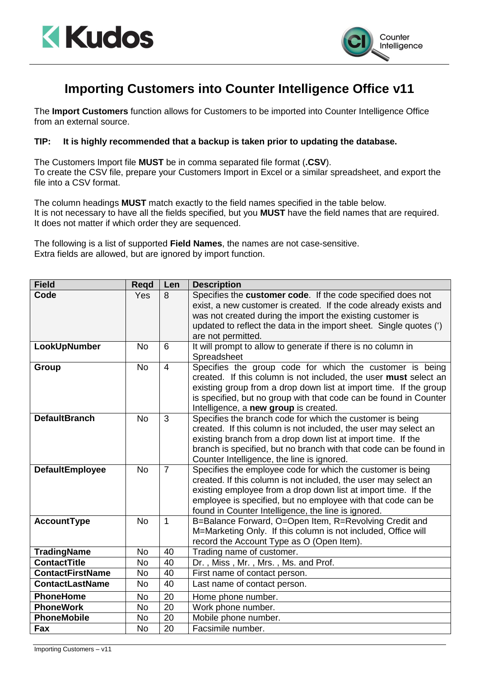



## **Importing Customers into Counter Intelligence Office v11**

The **Import Customers** function allows for Customers to be imported into Counter Intelligence Office from an external source.

## **TIP: It is highly recommended that a backup is taken prior to updating the database.**

The Customers Import file **MUST** be in comma separated file format (**.CSV**). To create the CSV file, prepare your Customers Import in Excel or a similar spreadsheet, and export the file into a CSV format.

The column headings **MUST** match exactly to the field names specified in the table below. It is not necessary to have all the fields specified, but you **MUST** have the field names that are required. It does not matter if which order they are sequenced.

The following is a list of supported **Field Names**, the names are not case-sensitive. Extra fields are allowed, but are ignored by import function.

| <b>Field</b>            | Regd      | Len            | <b>Description</b>                                                                                                                                                                                                                                                                                                      |
|-------------------------|-----------|----------------|-------------------------------------------------------------------------------------------------------------------------------------------------------------------------------------------------------------------------------------------------------------------------------------------------------------------------|
| Code                    | Yes       | 8              | Specifies the customer code. If the code specified does not<br>exist, a new customer is created. If the code already exists and<br>was not created during the import the existing customer is<br>updated to reflect the data in the import sheet. Single quotes (')<br>are not permitted.                               |
| LookUpNumber            | <b>No</b> | 6              | It will prompt to allow to generate if there is no column in<br>Spreadsheet                                                                                                                                                                                                                                             |
| Group                   | <b>No</b> | $\overline{4}$ | Specifies the group code for which the customer is being<br>created. If this column is not included, the user must select an<br>existing group from a drop down list at import time. If the group<br>is specified, but no group with that code can be found in Counter<br>Intelligence, a new group is created.         |
| <b>DefaultBranch</b>    | <b>No</b> | 3              | Specifies the branch code for which the customer is being<br>created. If this column is not included, the user may select an<br>existing branch from a drop down list at import time. If the<br>branch is specified, but no branch with that code can be found in<br>Counter Intelligence, the line is ignored.         |
| <b>DefaultEmployee</b>  | <b>No</b> | $\overline{7}$ | Specifies the employee code for which the customer is being<br>created. If this column is not included, the user may select an<br>existing employee from a drop down list at import time. If the<br>employee is specified, but no employee with that code can be<br>found in Counter Intelligence, the line is ignored. |
| <b>AccountType</b>      | <b>No</b> | 1              | B=Balance Forward, O=Open Item, R=Revolving Credit and<br>M=Marketing Only. If this column is not included, Office will<br>record the Account Type as O (Open Item).                                                                                                                                                    |
| <b>TradingName</b>      | <b>No</b> | 40             | Trading name of customer.                                                                                                                                                                                                                                                                                               |
| <b>ContactTitle</b>     | <b>No</b> | 40             | Dr., Miss, Mr., Mrs., Ms. and Prof.                                                                                                                                                                                                                                                                                     |
| <b>ContactFirstName</b> | <b>No</b> | 40             | First name of contact person.                                                                                                                                                                                                                                                                                           |
| <b>ContactLastName</b>  | <b>No</b> | 40             | Last name of contact person.                                                                                                                                                                                                                                                                                            |
| <b>PhoneHome</b>        | <b>No</b> | 20             | Home phone number.                                                                                                                                                                                                                                                                                                      |
| <b>PhoneWork</b>        | <b>No</b> | 20             | Work phone number.                                                                                                                                                                                                                                                                                                      |
| <b>PhoneMobile</b>      | <b>No</b> | 20             | Mobile phone number.                                                                                                                                                                                                                                                                                                    |
| Fax                     | No        | 20             | Facsimile number.                                                                                                                                                                                                                                                                                                       |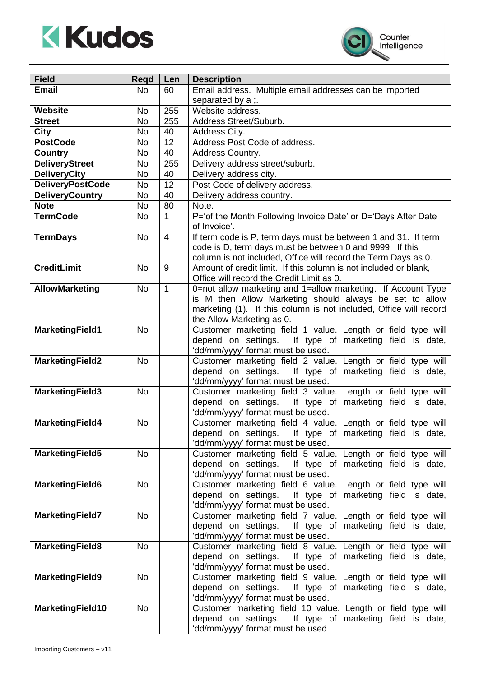



| <b>Field</b>                   | Regd      | Len            | <b>Description</b>                                                                                                        |
|--------------------------------|-----------|----------------|---------------------------------------------------------------------------------------------------------------------------|
| <b>Email</b>                   | No        | 60             | Email address. Multiple email addresses can be imported                                                                   |
|                                |           |                | separated by a :.                                                                                                         |
| Website                        | No        | 255            | Website address.                                                                                                          |
| <b>Street</b>                  | <b>No</b> | 255            | Address Street/Suburb.                                                                                                    |
| City                           | <b>No</b> | 40             | Address City.                                                                                                             |
| <b>PostCode</b>                | No        | 12             | Address Post Code of address.                                                                                             |
| <b>Country</b>                 | No        | 40             | Address Country.                                                                                                          |
| <b>DeliveryStreet</b>          | <b>No</b> | 255            | Delivery address street/suburb.                                                                                           |
| <b>DeliveryCity</b>            | No        | 40             | Delivery address city.                                                                                                    |
| <b>DeliveryPostCode</b>        | No        | 12             | Post Code of delivery address.                                                                                            |
| <b>DeliveryCountry</b>         | No        | 40             | Delivery address country.                                                                                                 |
| <b>Note</b><br><b>TermCode</b> | <b>No</b> | 80             | Note.                                                                                                                     |
|                                | <b>No</b> | $\mathbf 1$    | P='of the Month Following Invoice Date' or D='Days After Date<br>of Invoice'.                                             |
|                                | <b>No</b> | $\overline{4}$ | If term code is P, term days must be between 1 and 31. If term                                                            |
| <b>TermDays</b>                |           |                | code is D, term days must be between 0 and 9999. If this                                                                  |
|                                |           |                | column is not included, Office will record the Term Days as 0.                                                            |
| <b>CreditLimit</b>             | <b>No</b> | 9              | Amount of credit limit. If this column is not included or blank,                                                          |
|                                |           |                | Office will record the Credit Limit as 0.                                                                                 |
| <b>AllowMarketing</b>          | <b>No</b> | $\mathbf{1}$   | 0=not allow marketing and 1=allow marketing. If Account Type                                                              |
|                                |           |                | is M then Allow Marketing should always be set to allow                                                                   |
|                                |           |                | marketing (1). If this column is not included, Office will record                                                         |
|                                |           |                | the Allow Marketing as 0.                                                                                                 |
| <b>MarketingField1</b>         | <b>No</b> |                | Customer marketing field 1 value. Length or field type will                                                               |
|                                |           |                | depend on settings. If type of marketing field is date,                                                                   |
|                                |           |                | 'dd/mm/yyyy' format must be used.                                                                                         |
| <b>MarketingField2</b>         | <b>No</b> |                | Customer marketing field 2 value. Length or field type will                                                               |
|                                |           |                | If type of marketing field is date,<br>depend on settings.<br>'dd/mm/yyyy' format must be used.                           |
| <b>MarketingField3</b>         | <b>No</b> |                | Customer marketing field 3 value. Length or field type will                                                               |
|                                |           |                | depend on settings. If type of marketing field is date,                                                                   |
|                                |           |                | 'dd/mm/yyyy' format must be used.                                                                                         |
| <b>MarketingField4</b>         | <b>No</b> |                | Customer marketing field 4 value. Length or field type will                                                               |
|                                |           |                | depend on settings.<br>If type of marketing field is date,                                                                |
|                                |           |                | 'dd/mm/yyyy' format must be used.                                                                                         |
| <b>MarketingField5</b>         | No        |                | Customer marketing field 5 value. Length or field type will                                                               |
|                                |           |                | depend on settings. If type of marketing field is date,                                                                   |
|                                |           |                | 'dd/mm/yyyy' format must be used.                                                                                         |
| <b>MarketingField6</b>         | No        |                | Customer marketing field 6 value. Length or field type will                                                               |
|                                |           |                | depend on settings. If type of marketing field is date,                                                                   |
|                                |           |                | 'dd/mm/yyyy' format must be used.                                                                                         |
| <b>MarketingField7</b>         | <b>No</b> |                | Customer marketing field 7 value. Length or field type will<br>depend on settings.<br>If type of marketing field is date, |
|                                |           |                | 'dd/mm/yyyy' format must be used.                                                                                         |
| <b>MarketingField8</b>         | <b>No</b> |                | Customer marketing field 8 value. Length or field type will                                                               |
|                                |           |                | depend on settings. If type of marketing field is date,                                                                   |
|                                |           |                | 'dd/mm/yyyy' format must be used.                                                                                         |
| <b>MarketingField9</b>         | <b>No</b> |                | Customer marketing field 9 value. Length or field type will                                                               |
|                                |           |                | depend on settings.<br>If type of marketing field is date,                                                                |
|                                |           |                | 'dd/mm/yyyy' format must be used.                                                                                         |
| <b>MarketingField10</b>        | No        |                | Customer marketing field 10 value. Length or field type will                                                              |
|                                |           |                | depend on settings. If type of marketing field is date,                                                                   |
|                                |           |                | 'dd/mm/yyyy' format must be used.                                                                                         |